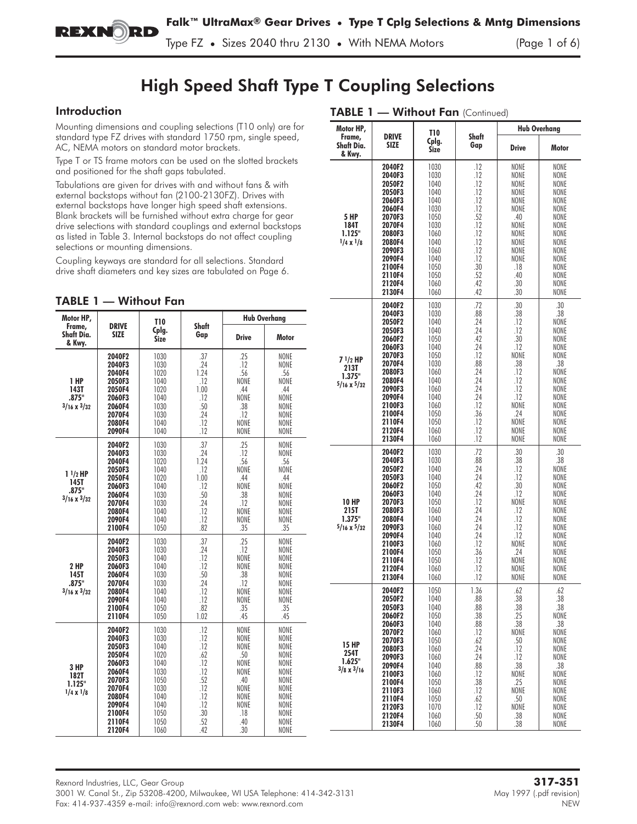

Type FZ **•** Sizes 2040 thru 2130 **•** With NEMA Motors (Page 1 of 6)

# High Speed Shaft Type T Coupling Selections

## Introduction

Mounting dimensions and coupling selections (T10 only) are for standard type FZ drives with standard 1750 rpm, single speed, AC, NEMA motors on standard motor brackets.

Type T or TS frame motors can be used on the slotted brackets and positioned for the shaft gaps tabulated.

Tabulations are given for drives with and without fans & with external backstops without fan (2100-2130FZ). Drives with external backstops have longer high speed shaft extensions. Blank brackets will be furnished without extra charge for gear drive selections with standard couplings and external backstops as listed in Table 3. Internal backstops do not affect coupling selections or mounting dimensions.

Coupling keyways are standard for all selections. Standard drive shaft diameters and key sizes are tabulated on Page 6.

| Motor HP,                                        |                                                                                                                                | <b>T10</b>                                                                                           |                                                                                         | <b>Hub Overhang</b>                                                                                    |                                                                                                                           |
|--------------------------------------------------|--------------------------------------------------------------------------------------------------------------------------------|------------------------------------------------------------------------------------------------------|-----------------------------------------------------------------------------------------|--------------------------------------------------------------------------------------------------------|---------------------------------------------------------------------------------------------------------------------------|
| Frame,<br>Shaft Dia.<br>& Kwv.                   | <b>DRIVE</b><br>SIZE                                                                                                           | Cplg.<br><b>Size</b>                                                                                 | Shaft<br>Gap                                                                            | <b>Drive</b>                                                                                           | <b>Motor</b>                                                                                                              |
| 1 HP<br>143T<br>.875"<br>$3/16 \times 3/32$      | 2040F2<br>2040F3<br>2040F4<br>2050F3<br>2050F4<br>2060F3<br>2060F4<br>2070F4<br>2080F4<br>2090F4                               | 1030<br>1030<br>1020<br>1040<br>1020<br>1040<br>1030<br>1030<br>1040<br>1040                         | .37<br>.24<br>1.24<br>.12<br>1.00<br>.12<br>.50<br>.24<br>.12<br>.12                    | .25<br>.12<br>.56<br>NONE<br>.44<br>NONE<br>.38<br>.12<br>NONE<br>NONE                                 | <b>NONF</b><br>NONE<br>.56<br>NONE<br>.44<br>NONE<br><b>NONE</b><br>NONE<br>NONE<br>NONE                                  |
| $11/2$ HP<br>145T<br>.875"<br>$3/16 \times 3/32$ | 2040F2<br>2040F3<br>2040F4<br>2050F3<br>2050F4<br>2060F3<br>2060F4<br>2070F4<br>2080F4<br>2090F4<br>2100F4                     | 1030<br>1030<br>1020<br>1040<br>1020<br>1040<br>1030<br>1030<br>1040<br>1040<br>1050                 | .37<br>.24<br>1.24<br>.12<br>1.00<br>.12<br>.50<br>.24<br>.12<br>.12<br>.82             | .25<br>.12<br>.56<br>NONE<br>.44<br>NONE<br>.38<br>.12<br>NONE<br>NONE<br>.35                          | <b>NONE</b><br><b>NONE</b><br>.56<br><b>NONE</b><br>.44<br><b>NONE</b><br><b>NONE</b><br>NONE<br>NONE<br>NONE<br>.35      |
| 2 HP<br>145T<br>.875"<br>$3/16 \times 3/32$      | 2040F2<br>2040F3<br>2050F3<br>2060F3<br>2060F4<br>2070F4<br>2080F4<br>2090F4<br>2100F4<br>2110F4                               | 1030<br>1030<br>1040<br>1040<br>1030<br>1030<br>1040<br>1040<br>1050<br>1050                         | .37<br>.24<br>.12<br>.12<br>.50<br>.24<br>.12<br>.12<br>.82<br>1.02                     | .25<br>.12<br>NONE<br>NONE<br>.38<br>.12<br>NONE<br>NONE<br>.35<br>.45                                 | <b>NONE</b><br>NONE<br><b>NONE</b><br>NONE<br><b>NONE</b><br>NONE<br>NONE<br><b>NONE</b><br>.35<br>.45                    |
| 3 HP<br>182T<br>1.125"<br>$1/4 \times 1/8$       | 2040F2<br>2040F3<br>2050F3<br>2050F4<br>2060F3<br>2060F4<br>2070F3<br>2070F4<br>2080F4<br>2090F4<br>2100F4<br>2110F4<br>2120F4 | 1030<br>1030<br>1040<br>1020<br>1040<br>1030<br>1050<br>1030<br>1040<br>1040<br>1050<br>1050<br>1060 | .12<br>.12<br>.12<br>.62<br>.12<br>.12<br>.52<br>.12<br>.12<br>.12<br>.30<br>.52<br>.42 | NONE<br>NONE<br>NONE<br>.50<br>NONE<br><b>NONF</b><br>.40<br>NONE<br>NONE<br>NONE<br>.18<br>.40<br>.30 | NONE<br><b>NONE</b><br>NONE<br>NONE<br>NONE<br><b>NONE</b><br>NONE<br>NONE<br>NONE<br><b>NONE</b><br>NONE<br>NONE<br>NONE |

| TABLE 1 - Without Fan (Continued)                    |                                                                                                                                                                        |                                                                                                                                      |                                                                                                                      |                                                                                                                          |                                                                                                                                   |  |  |
|------------------------------------------------------|------------------------------------------------------------------------------------------------------------------------------------------------------------------------|--------------------------------------------------------------------------------------------------------------------------------------|----------------------------------------------------------------------------------------------------------------------|--------------------------------------------------------------------------------------------------------------------------|-----------------------------------------------------------------------------------------------------------------------------------|--|--|
| Motor HP,<br>Frame,<br><b>Shaft Dia.</b><br>& Kwy.   | <b>DRIVE</b><br><b>SIZE</b>                                                                                                                                            | <b>T10</b><br>Cplg.<br><b>Size</b>                                                                                                   | Shaft<br>Gap                                                                                                         | <b>Drive</b>                                                                                                             | <b>Hub Overhang</b><br>Motor                                                                                                      |  |  |
| <b>5 HP</b><br>184T<br>1.125"<br>$1/4 \times 1/8$    | 2040F2<br>2040F3<br>2050F2<br>2050F3<br>2060F3<br>2060F4<br>2070F3<br>2070F4<br>2080F3<br>2080F4<br>2090F3<br>2090F4<br>2100F4<br>2110F4<br>2120F4<br>2130F4           | 1030<br>1030<br>1040<br>1040<br>1040<br>1030<br>1050<br>1030<br>1060<br>1040<br>1060<br>1040<br>1050<br>1050<br>1060<br>1060         | .12<br>.12<br>.12<br>.12<br>.12<br>.12<br>.52<br>.12<br>.12<br>.12<br>.12<br>.12<br>.30<br>.52<br>.42<br>.42         | NONE<br>NONE<br>NONE<br>NONE<br>NONE<br>NONE<br>.40<br>NONE<br>NONE<br>NONE<br>NONE<br>NONE<br>.18<br>.40<br>.30<br>.30  | NONE<br>NONE<br>NONE<br>NONE<br>NONE<br>NONE<br>NONE<br>NONE<br>NONE<br>NONE<br>NONE<br>NONE<br>NONE<br>NONE<br>NONE<br>NONE      |  |  |
| $71/2$ HP<br>213T<br>1.375"<br>$5/16 \times 5/32$    | 2040F2<br>2040F3<br>2050F2<br>2050F3<br>2060F2<br>2060F3<br>2070F3<br>2070F4<br>2080F3<br>2080F4<br>2090F3<br>2090F4<br>2100F3<br>2100F4<br>2110F4<br>2120F4<br>2130F4 | 1030<br>1030<br>1040<br>1040<br>1050<br>1040<br>1050<br>1030<br>1060<br>1040<br>1060<br>1040<br>1060<br>1050<br>1050<br>1060<br>1060 | .72<br>.88<br>.24<br>.24<br>.42<br>.24<br>.12<br>.88<br>.24<br>.24<br>.24<br>.24<br>.12<br>.36<br>.12<br>.12<br>.12  | .30<br>.38<br>.12<br>.12<br>.30<br>.12<br>NONE<br>.38<br>.12<br>.12<br>.12<br>.12<br>NONE<br>.24<br>NONE<br>NONE<br>NONE | .30<br>.38<br>NONE<br>NONE<br>NONE<br>NONE<br>NONE<br>.38<br>NONE<br>NONE<br>NONE<br>NONE<br>NONE<br>NONE<br>NONE<br>NONE<br>NONE |  |  |
| <b>10 HP</b><br>215T<br>1.375"<br>$5/16 \times 5/32$ | 2040F2<br>2040F3<br>2050F2<br>2050F3<br>2060F2<br>2060F3<br>2070F3<br>2080F3<br>2080F4<br>2090F3<br>2090F4<br>2100F3<br>2100F4<br>2110F4<br>2120F4<br>2130F4           | 1030<br>1030<br>1040<br>1040<br>1050<br>1040<br>1050<br>1060<br>1040<br>1060<br>1040<br>1060<br>1050<br>1050<br>1060<br>1060         | .72<br>.88<br>.24<br>.24<br>.42<br>.24<br>.12<br>.24<br>.24<br>.24<br>.24<br>.12<br>.36<br>.12<br>.12<br>.12         | .30<br>.38<br>.12<br>.12<br>.30<br>.12<br>NONE<br>.12<br>.12<br>.12<br>.12<br>NONE<br>.24<br>NONE<br>NONE<br>NONE        | .30<br>.38<br>NONE<br>NONE<br>NONE<br>NONE<br>NONE<br>NONE<br>NONE<br>NONE<br>NONE<br>NONE<br>NONE<br>NONE<br>NONE<br>NONE        |  |  |
| <b>15 HP</b><br>254T<br>1.625"<br>$3/8 \times 3/16$  | 2040F2<br>2050F2<br>2050F3<br>2060F2<br>2060F3<br>2070F2<br>2070F3<br>2080F3<br>2090F3<br>2090F4<br>2100F3<br>2100F4<br>2110F3<br>2110F4<br>2120F3<br>2120F4<br>2130F4 | 1050<br>1040<br>1040<br>1050<br>1040<br>1060<br>1050<br>1060<br>1060<br>1040<br>1060<br>1050<br>1060<br>1050<br>1070<br>1060<br>1060 | 1.36<br>.88<br>.88<br>.38<br>.88<br>.12<br>.62<br>.24<br>.24<br>.88<br>.12<br>.38<br>.12<br>.62<br>.12<br>.50<br>.50 | .62<br>.38<br>.38<br>.25<br>.38<br>NONE<br>.50<br>.12<br>.12<br>.38<br>NONE<br>.25<br>NONE<br>.50<br>NONE<br>.38<br>.38  | .62<br>.38<br>.38<br>NONE<br>.38<br>NONE<br>NONE<br>NONE<br>NONE<br>.38<br>NONE<br>NONE<br>NONE<br>NONE<br>NONE<br>NONE<br>NONE   |  |  |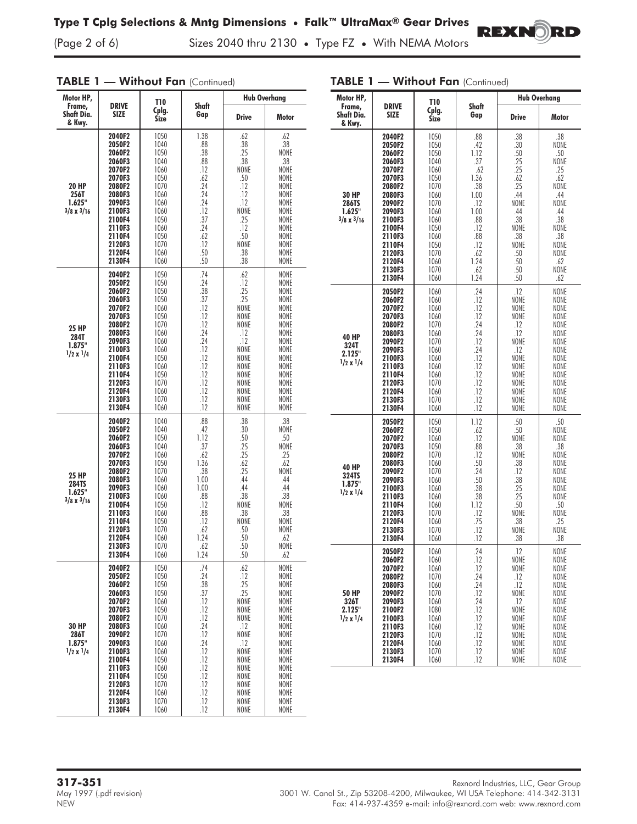TABLE 1 - Without Fan (Continued)

(Page 2 of 6) Sizes 2040 thru 2130 **•** Type FZ **•** With NEMA Motors

| Motor HP,<br>DRIVE<br>Frame,                         |                                                                                                                                                                                  | <b>T10</b>                                                                                                                                   |                                                                                                                            | <b>Hub Overhang</b>                                                                                                                           |                                                                                                                                                     |  |
|------------------------------------------------------|----------------------------------------------------------------------------------------------------------------------------------------------------------------------------------|----------------------------------------------------------------------------------------------------------------------------------------------|----------------------------------------------------------------------------------------------------------------------------|-----------------------------------------------------------------------------------------------------------------------------------------------|-----------------------------------------------------------------------------------------------------------------------------------------------------|--|
| Shaft Dia.<br>& Kwy.                                 | <b>SIZE</b>                                                                                                                                                                      |                                                                                                                                              | Shaft<br>Gap                                                                                                               | <b>Drive</b>                                                                                                                                  | Motor                                                                                                                                               |  |
| 20 HP<br>256T<br>1.625"<br>$3/8 \times 3/16$         | 2040F2<br>2050F2<br>2060F2<br>2060F3<br>2070F2<br>2070F3<br>2080F2<br>2080F3<br>2090F3<br>2100F3<br>2100F4<br>2110F3<br>2110F4<br>2120F3<br>2120F4<br>2130F4                     | 1050<br>1040<br>1050<br>1040<br>1060<br>1050<br>1070<br>1060<br>1060<br>1060<br>1050<br>1060<br>1050<br>1070<br>1060<br>1060                 | 1.38<br>.88<br>.38<br>.88<br>.12<br>.62<br>.24<br>.24<br>.24<br>.12<br>.37<br>.24<br>.62<br>.12<br>.50<br>.50              | .62<br>.38<br>.25<br>.38<br>NONE<br>.50<br>.12<br>.12<br>.12<br>NONE<br>.25<br>.12<br>.50<br>NONE<br>.38<br>.38                               | .62<br>.38<br>NONE<br>.38<br>NONE<br>NONE<br>NONE<br>NONE<br>NONE<br>NONE<br>NONE<br>NONE<br>NONE<br>NONE<br>NONE<br>NONE                           |  |
| <b>25 HP</b><br>284T<br>1.875"<br>$1/2 \times 1/4$   | 2040F2<br>2050F2<br>2060F2<br>2060F3<br>2070F2<br>2070F3<br>2080F2<br>2080F3<br>2090F3<br>2100F3<br>2100F4<br>2110F3<br>2110F4<br>2120F3<br>2120F4<br>2130F3<br>2130F4           | 1050<br>1050<br>1050<br>1050<br>1060<br>1050<br>1070<br>1060<br>1060<br>1060<br>1050<br>1060<br>1050<br>1070<br>1060<br>1070<br>1060         | .74<br>.24<br>.38<br>.37<br>.12<br>.12<br>.12<br>.24<br>.24<br>.12<br>.12<br>.12<br>.12<br>.12<br>.12<br>.12<br>.12        | .62<br>.12<br>.25<br>.25<br>NONE<br>NONE<br>NONE<br>.12<br>.12<br><b>NONE</b><br>NONE<br>NONE<br>NONE<br>NONE<br>NONE<br>NONE<br>NONE         | NONE<br>NONE<br>NONE<br>NONE<br>NONE<br>NONE<br>NONE<br>NONE<br>NONE<br>NONE<br>NONE<br>NONE<br>NONE<br>NONE<br>NONE<br>NONE<br>NONE                |  |
| 25 HP<br><b>284TS</b><br>1.625"<br>$3/8 \times 3/16$ | 2040F2<br>2050F2<br>2060F2<br>2060F3<br>2070F2<br>2070F3<br>2080F2<br>2080F3<br>2090F3<br>2100F3<br>2100F4<br>2110F3<br>2110F4<br>2120F3<br>2120F4<br>2130F3<br>2130F4           | 1040<br>1040<br>1050<br>1040<br>1060<br>1050<br>1070<br>1060<br>1060<br>1060<br>1050<br>1060<br>1050<br>1070<br>1060<br>1070<br>1060         | .88<br>.42<br>1.12<br>.37<br>.62<br>1.36<br>.38<br>1.00<br>1.00<br>.88<br>.12<br>.88<br>.12<br>.62<br>1.24<br>.62<br>1.24  | .38<br>.30<br>.50<br>.25<br>.25<br>.62<br>.25<br>.44<br>.44<br>.38<br>NONE<br>.38<br>NONE<br>.50<br>.50<br>.50<br>.50                         | .38<br>NONE<br>.50<br>NONE<br>.25<br>.62<br>NONE<br>.44<br>.44<br>.38<br>NONE<br>.38<br>NONE<br>NONE<br>.62<br>NONE<br>.62                          |  |
| 30 HP<br>286T<br>1.875"<br>$1/2 \times 1/4$          | 2040F2<br>2050F2<br>2060F2<br>2060F3<br>2070F2<br>2070F3<br>2080F2<br>2080F3<br>2090F2<br>2090F3<br>2100F3<br>2100F4<br>2110F3<br>2110F4<br>2120F3<br>2120F4<br>2130F3<br>2130F4 | 1050<br>1050<br>1050<br>1050<br>1060<br>1050<br>1070<br>1060<br>1070<br>1060<br>1060<br>1050<br>1060<br>1050<br>1070<br>1060<br>1070<br>1060 | .74<br>.24<br>.38<br>.37<br>.12<br>.12<br>.12<br>.24<br>.12<br>.24<br>.12<br>.12<br>.12<br>.12<br>.12<br>.12<br>.12<br>.12 | .62<br>.12<br>.25<br>.25<br>NONE<br>NONE<br>NONE<br>.12<br>NONE<br>.12<br>NONE<br>NONE<br>NONE<br><b>NONE</b><br>NONE<br>NONE<br>NONE<br>NONE | NONE<br>NONE<br><b>NONE</b><br>NONE<br>NONE<br>NONE<br>NONE<br>NONE<br>NONE<br>NONE<br>NONE<br>NONE<br>NONE<br>NONE<br>NONE<br>NONE<br>NONE<br>NONE |  |

| Motor HP,                                            |                                                                                                                                                                                  | T10                                                                                                                                          |                                                                                                                                  | <b>Hub Overhang</b>                                                                                                           |                                                                                                                                 |  |
|------------------------------------------------------|----------------------------------------------------------------------------------------------------------------------------------------------------------------------------------|----------------------------------------------------------------------------------------------------------------------------------------------|----------------------------------------------------------------------------------------------------------------------------------|-------------------------------------------------------------------------------------------------------------------------------|---------------------------------------------------------------------------------------------------------------------------------|--|
| Frame,<br>Shaft Dia.<br>& Kwv.                       | <b>DRIVE</b><br><b>SIZE</b>                                                                                                                                                      | Cplg.<br><b>Size</b>                                                                                                                         | Shaft<br>Gap                                                                                                                     | <b>Drive</b>                                                                                                                  | Motor                                                                                                                           |  |
| <b>30 HP</b><br>286TS<br>1.625"<br>$3/8 \times 3/16$ | 2040F2<br>2050F2<br>2060F2<br>2060F3<br>2070F2<br>2070F3<br>2080F2<br>2080F3<br>2090F2<br>2090F3<br>2100F3<br>2100F4<br>2110F3<br>2110F4<br>2120F3<br>2120F4<br>2130F3<br>2130F4 | 1050<br>1050<br>1050<br>1040<br>1060<br>1050<br>1070<br>1060<br>1070<br>1060<br>1060<br>1050<br>1060<br>1050<br>1070<br>1060<br>1070<br>1060 | .88<br>.42<br>1.12<br>.37<br>.62<br>1.36<br>.38<br>1.00<br>.12<br>1.00<br>.88<br>.12<br>.88<br>.12<br>.62<br>1.24<br>.62<br>1.24 | .38<br>.30<br>.50<br>.25<br>.25<br>.62<br>.25<br>.44<br>NONE<br>.44<br>.38<br>NONE<br>.38<br>NONE<br>.50<br>.50<br>.50<br>.50 | 38<br>NONE<br>.50<br>NONE<br>.25<br>.62<br>NONE<br>.44<br>NONE<br>.44<br>.38<br>NONE<br>38<br>NONE<br>NONE<br>62<br>NONE<br>.62 |  |
| <b>40 HP</b><br>324T<br>2.125"<br>$1/2 \times 1/4$   | 2050F2<br>2060F2<br>2070F2<br>2070F3<br>2080F2<br>2080F3<br>2090F2<br>2090F3<br>2100F3<br>2110F3<br>2110F4<br>2120F3<br>2120F4<br>2130F3<br>2130F4                               | 1060<br>1060<br>1060<br>1060<br>1070<br>1060<br>1070<br>1060<br>1060<br>1060<br>1060<br>1070<br>1060<br>1070<br>1060                         | .24<br>.12<br>.12<br>.12<br>.24<br>.24<br>.12<br>.24<br>.12<br>.12<br>.12<br>.12<br>.12<br>.12<br>.12                            | .12<br>NONE<br>NONE<br>NONE<br>.12<br>.12<br>NONE<br>.12<br>NONE<br>NONE<br>NONE<br>NONE<br>NONE<br>NONE<br>NONE              | NONE<br>NONE<br>NONE<br>NONE<br>NONE<br>NONE<br>NONE<br>NONE<br>NONE<br>NONE<br>NONE<br>NONE<br>NONE<br>NONE<br>NONE            |  |
| <b>40 HP</b><br>324TS<br>1.875"<br>$1/2 \times 1/4$  | 2050F2<br>2060F2<br>2070F2<br>2070F3<br>2080F2<br>2080F3<br>2090F2<br>2090F3<br>2100F3<br>2110F3<br>2110F4<br>2120F3<br>2120F4<br>2130F3<br>2130F4                               | 1050<br>1050<br>1060<br>1050<br>1070<br>1060<br>1070<br>1060<br>1060<br>1060<br>1060<br>1070<br>1060<br>1070<br>1060                         | 1.12<br>.62<br>.12<br>.88<br>.12<br>.50<br>.24<br>.50<br>.38<br>.38<br>1.12<br>.12<br>.75<br>.12<br>.12                          | .50<br>.50<br>NONE<br>.38<br>NONE<br>.38<br>.12<br>.38<br>.25<br>.25<br>.50<br>NONE<br>.38<br>NONE<br>.38                     | .50<br>NONE<br>NONE<br>.38<br>NONE<br>NONE<br>NONE<br>NONE<br>NONE<br>NONE<br>50<br>NONE<br>.25<br>NONE<br>.38                  |  |
| 50 HP<br>326T<br>2.125"<br>$1/2 \times 1/4$          | 2050F2<br>2060F2<br>2070F2<br>2080F2<br>2080F3<br>2090F2<br>2090F3<br>2100F2<br>2100F3<br>2110F3<br>2120F3<br>2120F4<br>2130F3<br>2130F4                                         | 1060<br>1060<br>1060<br>1070<br>1060<br>1070<br>1060<br>1080<br>1060<br>1060<br>1070<br>1060<br>1070<br>1060                                 | 24<br>.12<br>.12<br>.24<br>.24<br>.12<br>.24<br>.12<br>.12<br>.12<br>.12<br>.12<br>.12<br>.12                                    | 12<br>NONE<br>NONE<br>.12<br>.12<br>NONE<br>.12<br>NONE<br>NONE<br>NONE<br>NONE<br>NONE<br>NONE<br>NONE                       | NONE<br>NONE<br>NONE<br>NONE<br>NONE<br>NONE<br>NONE<br>NONE<br>NONE<br>NONE<br>NONE<br>NONE<br>NONE<br>NONE                    |  |

## TABLE 1 - Without Fan (Continued)

REXNORD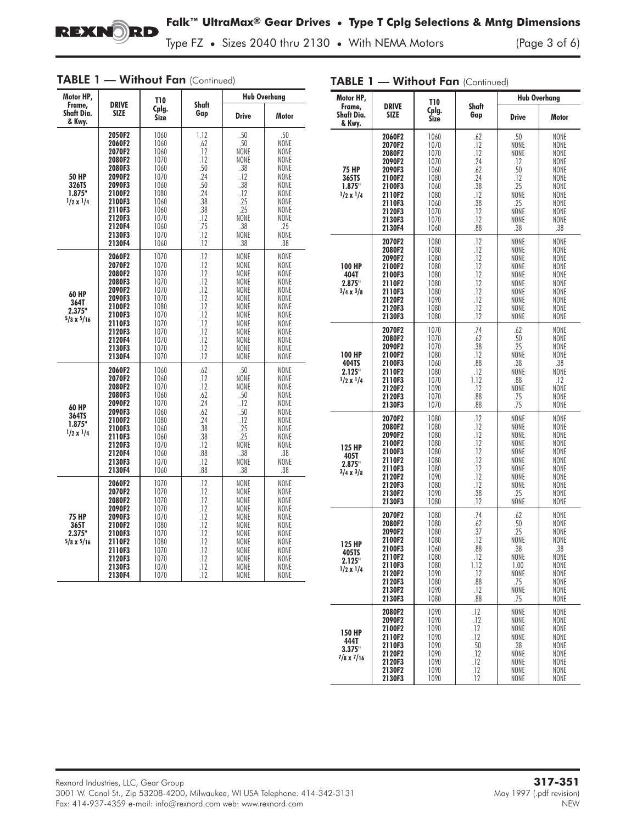

Type FZ **•** Sizes 2040 thru 2130 **•** With NEMA Motors (Page 3 of 6)

| Motor HP,                                           |                                                                                                                                          | <b>T10</b>                                                                                                   |                                                                                                 | <b>Hub Overhang</b>                                                                                                       |                                                                                                                                                                          |  |
|-----------------------------------------------------|------------------------------------------------------------------------------------------------------------------------------------------|--------------------------------------------------------------------------------------------------------------|-------------------------------------------------------------------------------------------------|---------------------------------------------------------------------------------------------------------------------------|--------------------------------------------------------------------------------------------------------------------------------------------------------------------------|--|
| Frame,<br><b>Shaft Dia.</b><br>& Kwy.               | <b>DRIVE</b><br>Cplg.<br><b>SIZE</b><br>Size                                                                                             |                                                                                                              | Shaft<br>Gap                                                                                    | <b>Drive</b>                                                                                                              | <b>Motor</b>                                                                                                                                                             |  |
| 50 HP<br>326TS<br>1.875"<br>$1/2 \times 1/4$        | 2050F2<br>2060F2<br>2070F2<br>2080F2<br>2080F3<br>2090F2<br>2090F3<br>2100F2<br>2100F3<br>2110F3<br>2120F3<br>2120F4<br>2130F3<br>2130F4 | 1060<br>1060<br>1060<br>1070<br>1060<br>1070<br>1060<br>1080<br>1060<br>1060<br>1070<br>1060<br>1070<br>1060 | 1.12<br>.62<br>.12<br>.12<br>.50<br>.24<br>.50<br>.24<br>.38<br>.38<br>.12<br>.75<br>.12<br>.12 | .50<br>.50<br>NONE<br><b>NONE</b><br>.38<br>.12<br>.38<br>.12<br>.25<br>.25<br>NONE<br>.38<br>NONE<br>.38                 | .50<br><b>NONE</b><br><b>NONE</b><br><b>NONE</b><br>NONE<br><b>NONE</b><br>NONE<br><b>NONE</b><br>NONE<br><b>NONE</b><br><b>NONE</b><br>.25<br><b>NONE</b><br>.38        |  |
| <b>60 HP</b><br>364T<br>2.375"<br>$5/8 \times 5/16$ | 2060F2<br>2070F2<br>2080F2<br>2080F3<br>2090F2<br>2090F3<br>2100F2<br>2100F3<br>2110F3<br>2120F3<br>2120F4<br>2130F3<br>2130F4           | 1070<br>1070<br>1070<br>1070<br>1070<br>1070<br>1080<br>1070<br>1070<br>1070<br>1070<br>1070<br>1070         | .12<br>.12<br>.12<br>.12<br>.12<br>.12<br>.12<br>.12<br>.12<br>.12<br>.12<br>.12<br>.12         | NONE<br>NONE<br>NONE<br>NONE<br>NONE<br>NONE<br><b>NONE</b><br>NONE<br>NONE<br>NONE<br><b>NONE</b><br>NONE<br><b>NONE</b> | <b>NONE</b><br><b>NONE</b><br><b>NONE</b><br><b>NONE</b><br>NONE<br>NONE<br><b>NONE</b><br>NONE<br><b>NONE</b><br>NONE<br><b>NONE</b><br><b>NONE</b><br><b>NONE</b>      |  |
| <b>60 HP</b><br>364TS<br>1.875"<br>$1/2 \times 1/4$ | 2060F2<br>2070F2<br>2080F2<br>2080F3<br>2090F2<br>2090F3<br>2100F2<br>2100F3<br>2110F3<br>2120F3<br>2120F4<br>2130F3<br>2130F4           | 1060<br>1060<br>1070<br>1060<br>1070<br>1060<br>1080<br>1060<br>1060<br>1070<br>1060<br>1070<br>1060         | .62<br>.12<br>.12<br>.62<br>.24<br>.62<br>.24<br>.38<br>.38<br>.12<br>.88<br>.12<br>.88         | .50<br>NONE<br>NONE<br>.50<br>.12<br>.50<br>.12<br>.25<br>.25<br>NONE<br>.38<br>NONE<br>.38                               | <b>NONE</b><br>NONE<br><b>NONE</b><br><b>NONE</b><br><b>NONE</b><br><b>NONE</b><br><b>NONE</b><br><b>NONE</b><br><b>NONE</b><br><b>NONE</b><br>.38<br><b>NONE</b><br>.38 |  |
| <b>75 HP</b><br>365T<br>2.375"<br>$5/8 \times 5/16$ | 2060F2<br>2070F2<br>2080F2<br>2090F2<br>2090F3<br>2100F2<br>2100F3<br>2110F2<br>2110F3<br>2120F3<br>2130F3<br>2130F4                     | 1070<br>1070<br>1070<br>1070<br>1070<br>1080<br>1070<br>1080<br>1070<br>1070<br>1070<br>1070                 | .12<br>.12<br>.12<br>.12<br>.12<br>.12<br>.12<br>.12<br>.12<br>.12<br>.12<br>.12                | NONE<br><b>NONE</b><br><b>NONE</b><br>NONE<br>NONE<br>NONE<br>NONE<br><b>NONE</b><br>NONE<br><b>NONE</b><br>NONE<br>NONE  | NONE<br><b>NONE</b><br><b>NONE</b><br>NONE<br><b>NONE</b><br><b>NONE</b><br><b>NONE</b><br><b>NONE</b><br><b>NONE</b><br><b>NONE</b><br>NONE<br>NONE                     |  |

| <b>TABLE 1 - Without Fan</b> (Continued) |  |
|------------------------------------------|--|
|------------------------------------------|--|

TABLE 1 - Without Fan (Continued)

| Motor HP,                                           |                                                                                                                                                                                                    | T10                                                                                          |                                                                                  | <b>Hub Overhang</b>                                                                                        |                                                                                             |  |
|-----------------------------------------------------|----------------------------------------------------------------------------------------------------------------------------------------------------------------------------------------------------|----------------------------------------------------------------------------------------------|----------------------------------------------------------------------------------|------------------------------------------------------------------------------------------------------------|---------------------------------------------------------------------------------------------|--|
| Frame,<br>Shaft Dia.<br>& Kwy.                      | <b>DRIVE</b><br><b>SIZE</b>                                                                                                                                                                        | Cplg.<br>Size                                                                                | Shaft<br>Gap                                                                     | <b>Drive</b>                                                                                               | Motor                                                                                       |  |
| <b>75 HP</b><br>365TS<br>1.875"<br>$1/2 \times 1/4$ | 2060F2<br>2070F2<br>2080F2<br>2090F2<br>2090F3<br>2100F2<br>2100F3<br>2110F2<br>2110F3<br>2120F3<br>2130F3<br>2130F4                                                                               | 1060<br>1070<br>1070<br>1070<br>1060<br>1080<br>1060<br>1080<br>1060<br>1070<br>1070<br>1060 | .62<br>.12<br>.12<br>.24<br>.62<br>.24<br>.38<br>.12<br>.38<br>.12<br>.12<br>.88 | .50<br>NONE<br>NONE<br>.12<br>.50<br>.12<br>.25<br><b>NONE</b><br>.25<br><b>NONE</b><br><b>NONE</b><br>.38 | NONE<br>NONE<br>NONE<br>NONE<br>NONE<br>NONE<br>NONE<br>NONE<br>NONE<br>NONE<br>NONE<br>.38 |  |
| <b>100 HP</b><br>404T<br>2.875"<br>$3/4 \times 3/8$ | 2070F2<br>2080F2<br>2090F2<br>2100F2<br>2100F3<br>2110F2<br>2110F3<br>2120F2<br>2120F3<br>2130F3                                                                                                   | 1080<br>1080<br>1080<br>1080<br>1080<br>1080<br>1080<br>1090<br>1080<br>1080                 | .12<br>.12<br>.12<br>.12<br>.12<br>.12<br>.12<br>.12<br>.12<br>.12               | <b>NONE</b><br>NONE<br>NONE<br>NONE<br>NONE<br>NONE<br>NONE<br>NONE<br>NONE<br>NONE                        | NONE<br>NONE<br>NONE<br>NONE<br>NONE<br>NONE<br>NONE<br>NONE<br>NONE<br>NONE                |  |
| 100 HP<br>404TS<br>2.125"<br>$1/2 \times 1/4$       | 2070F2<br>2080F2<br>2090F2<br>2100F2<br>2100F3<br>2110F2<br>2110F3<br>2120F2<br>2120F3<br>2130F3                                                                                                   | 1070<br>1070<br>1070<br>1080<br>1060<br>1080<br>1070<br>1090<br>1070<br>1070                 | .74<br>.62<br>.38<br>.12<br>.88<br>.12<br>1.12<br>.12<br>.88<br>.88              | .62<br>.50<br>.25<br>NONE<br>.38<br>NONE<br>.88<br>NONE<br>.75<br>.75                                      | NONE<br>NONE<br>NONE<br>NONE<br>.38<br>NONE<br>.12<br>NONE<br>NONE<br>NONE                  |  |
| 125 HP<br>405T<br>2.875"<br>$3/4 \times 3/8$        | 2070F2<br>2080F2<br>2090F2<br>2100F2<br>2100F3<br>2110F2<br>2110F3<br>2120F2<br>2120F3<br>2130F2<br>2130F3                                                                                         | 1080<br>1080<br>1080<br>1080<br>1080<br>1080<br>1080<br>1090<br>1080<br>1090<br>1080         | .12<br>.12<br>.12<br>.12<br>.12<br>.12<br>.12<br>.12<br>.12<br>.38<br>.12        | NONE<br>NONE<br>NONE<br>NONE<br>NONE<br>NONE<br>NONE<br>NONE<br>NONE<br>.25<br><b>NONE</b>                 | NONE<br>NONE<br>NONE<br>NONE<br>NONE<br>NONE<br>NONE<br>NONE<br>NONE<br>NONE<br>NONE        |  |
| 125 HP<br>405TS<br>2.125"<br>$1/2 \times 1/4$       | 2070F2<br>1080<br>2080F2<br>1080<br>2090F2<br>1080<br>1080<br>2100F2<br>2100F3<br>1060<br>2110F2<br>1080<br>2110F3<br>1080<br>2120F2<br>1090<br>2120F3<br>1080<br>2130F2<br>1090<br>2130F3<br>1080 |                                                                                              | .74<br>.62<br>.37<br>.12<br>.88<br>.12<br>1.12<br>.12<br>.88<br>.12<br>.88       | .62<br>.50.25<br>NONE<br>.38<br>NONE<br>1.00<br>NONE<br>.75<br>NONE<br>.75                                 | NONE<br>NONE<br>NONE<br>NONE<br>.38<br>NONE<br><b>NONE</b><br>NONE<br>NONE<br>NONE<br>NONE  |  |
| 150 HP<br>444T<br>3.375"<br>7/8 x 7/16              | 2080F2<br>2090F2<br>2100F2<br>2110F2<br>2110F3<br>2120F2<br>2120F3<br>2130F2<br>2130F3                                                                                                             | 1090<br>1090<br>1090<br>1090<br>1090<br>1090<br>1090<br>1090<br>1090                         | .12<br>.12<br>.12<br>.12<br>.50<br>.12<br>.12<br>.12<br>.12                      | NONE<br>NONE<br><b>NONE</b><br>NONE<br>.38<br><b>NONE</b><br>NONE<br><b>NONE</b><br><b>NONE</b>            | NONE<br><b>NONE</b><br>NONE<br>NONE<br>NONE<br>NONE<br>NONE<br>NONE<br>NONE                 |  |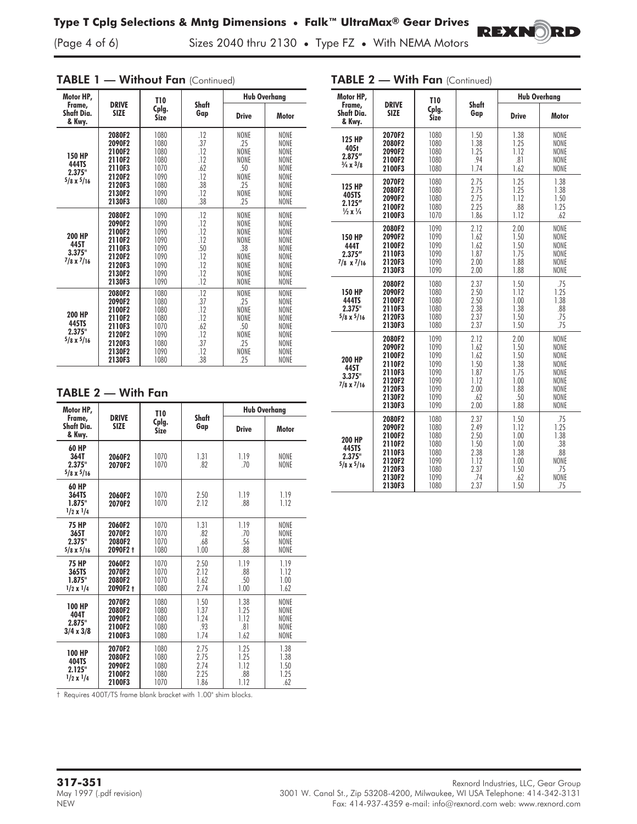(Page 4 of 6) Sizes 2040 thru 2130 **•** Type FZ **•** With NEMA Motors

| Motor HP,                                             |                                                                                        | <b>T10</b>                                                           |                                                             | <b>Hub Overhang</b>                                                                                                         |                                                                                                                              |  |
|-------------------------------------------------------|----------------------------------------------------------------------------------------|----------------------------------------------------------------------|-------------------------------------------------------------|-----------------------------------------------------------------------------------------------------------------------------|------------------------------------------------------------------------------------------------------------------------------|--|
| Frame,<br>Shaft Dia.<br>& Kwy.                        | <b>DRIVE</b><br><b>SIZE</b>                                                            | Cplg.<br>Size                                                        | Shaft<br>Gap                                                | <b>Drive</b>                                                                                                                | <b>Motor</b>                                                                                                                 |  |
| <b>150 HP</b><br>444TS<br>2.375"<br>$5/8 \times 5/16$ | 2080F2<br>2090F2<br>2100F2<br>2110F2<br>2110F3<br>2120F2<br>2120F3<br>2130F2<br>2130F3 | 1080<br>1080<br>1080<br>1080<br>1070<br>1090<br>1080<br>1090<br>1080 | .12<br>.37<br>.12<br>.12<br>.62<br>.12<br>.38<br>.12<br>.38 | NONE<br>.25<br><b>NONE</b><br><b>NONE</b><br>.50<br><b>NONE</b><br>.25<br>NONE<br>25                                        | NONE<br><b>NONE</b><br><b>NONE</b><br><b>NONE</b><br><b>NONE</b><br><b>NONE</b><br><b>NONE</b><br><b>NONE</b><br><b>NONE</b> |  |
| 200 HP<br>445T<br>3.375"<br>$7/8 \times 7/16$         | 2080F2<br>2090F2<br>2100F2<br>2110F2<br>2110F3<br>2120F2<br>2120F3<br>2130F2<br>2130F3 | 1090<br>1090<br>1090<br>1090<br>1090<br>1090<br>1090<br>1090<br>1090 | .12<br>.12<br>.12<br>.12<br>.50<br>.12<br>.12<br>.12<br>.12 | <b>NONE</b><br><b>NONE</b><br><b>NONE</b><br><b>NONE</b><br>.38<br><b>NONE</b><br><b>NONE</b><br><b>NONE</b><br><b>NONE</b> | <b>NONE</b><br><b>NONE</b><br><b>NONE</b><br><b>NONE</b><br><b>NONE</b><br><b>NONE</b><br><b>NONE</b><br>NONE<br><b>NONE</b> |  |
| 200 HP<br>445TS<br>2.375"<br>$5/8 \times 5/16$        | 2080F2<br>2090F2<br>2100F2<br>2110F2<br>2110F3<br>2120F2<br>2120F3<br>2130F2<br>2130F3 | 1080<br>1080<br>1080<br>1080<br>1070<br>1090<br>1080<br>1090<br>1080 | .12<br>.37<br>.12<br>.12<br>.62<br>.12<br>.37<br>.12<br>.38 | NONE<br>.25<br><b>NONE</b><br><b>NONE</b><br>.50<br><b>NONE</b><br>.25<br><b>NONE</b><br>.25                                | NONE<br><b>NONE</b><br><b>NONE</b><br><b>NONE</b><br><b>NONE</b><br><b>NONE</b><br><b>NONE</b><br><b>NONE</b><br><b>NONE</b> |  |

#### TABLE 1 - Without Fan (Continued)

### TABLE 2 — With Fan

| Motor HP,                                            |                                                | T10                                  |                                      | <b>Hub Overhang</b>                 |                                                                  |  |
|------------------------------------------------------|------------------------------------------------|--------------------------------------|--------------------------------------|-------------------------------------|------------------------------------------------------------------|--|
| Frame,<br>Shaft Dia.<br>& Kwy.                       | <b>DRIVE</b><br><b>SIZE</b>                    | Cplg.<br><b>Size</b>                 | Shaft<br>Gap                         | <b>Drive</b>                        | Motor                                                            |  |
| 60 HP<br>364T<br>2.375"<br>$5/8 \times 5/16$         | 2060F2<br>2070F2                               | 1070<br>1070                         | 1.31<br>.82                          | 1.19<br>.70                         | <b>NONE</b><br>NONE                                              |  |
| 60 HP<br>364TS<br>1.875"<br>$1/2 \times 1/4$         | 2060F2<br>2070F2                               | 1070<br>1070                         | 2.50<br>2.12                         | 1.19<br>.88                         | 1.19<br>1.12                                                     |  |
| <b>75 HP</b><br>365T<br>2.375"<br>$5/8 \times 5/16$  | 2060F2<br>2070F2<br>2080F2<br>2090F2 t         | 1070<br>1070<br>1070<br>1080         | 1.31<br>.82<br>.68<br>1.00           | 1.19<br>.70<br>.56<br>.88           | <b>NONE</b><br>NONE<br><b>NONE</b><br><b>NONE</b>                |  |
| <b>75 HP</b><br>365TS<br>1.875"<br>$1/2 \times 1/4$  | 2060F2<br>2070F2<br>2080F2<br>2090F2 +         | 1070<br>1070<br>1070<br>1080         | 2.50<br>2.12<br>1.62<br>2.74         | 1.19<br>.88<br>.50<br>1.00          | 1.19<br>1.12<br>1.00<br>1.62                                     |  |
| <b>100 HP</b><br>404T<br>2.875"<br>$3/4 \times 3/8$  | 2070F2<br>2080F2<br>2090F2<br>2100F2<br>2100F3 | 1080<br>1080<br>1080<br>1080<br>1080 | 1.50<br>1.37<br>1.24<br>.93<br>1.74  | 1.38<br>1.25<br>1.12<br>.81<br>1.62 | <b>NONE</b><br><b>NONE</b><br><b>NONE</b><br><b>NONE</b><br>NONE |  |
| <b>100 HP</b><br>404TS<br>2.125"<br>$1/2 \times 1/4$ | 2070F2<br>2080F2<br>2090F2<br>2100F2<br>2100F3 | 1080<br>1080<br>1080<br>1080<br>1070 | 2.75<br>2.75<br>2.74<br>2.25<br>1.86 | 1.25<br>1.25<br>1.12<br>.88<br>1.12 | 1.38<br>1.38<br>1.50<br>1.25<br>.62                              |  |

2100F3 † Requires 400T/TS frame blank bracket with 1.00" shim blocks.

| Motor HP,                                                             |                                                                                        | <b>T10</b>                                                           |                                                                     | <b>Hub Overhang</b>                                                 |                                                                             |  |
|-----------------------------------------------------------------------|----------------------------------------------------------------------------------------|----------------------------------------------------------------------|---------------------------------------------------------------------|---------------------------------------------------------------------|-----------------------------------------------------------------------------|--|
| Frame,<br>Shaft Dia.<br>& Kwy.                                        | <b>DRIVE</b><br><b>SIZE</b>                                                            | Cplg.<br><b>Size</b>                                                 | Shaft<br>Gap                                                        | <b>Drive</b>                                                        | Motor                                                                       |  |
| <b>125 HP</b><br>405t<br>2.875''<br>$\frac{3}{4}$ x $\frac{3}{8}$     | 2070F2<br>2080F2<br>2090F2<br>2100F2<br>2100F3                                         | 1080<br>1080<br>1080<br>1080<br>1080                                 | 1.50<br>1.38<br>1.25<br>.94<br>1.74                                 | 1.38<br>1.25<br>1.12<br>.81<br>1.62                                 | NONE<br>NONE<br>NONE<br>NONE<br>NONE                                        |  |
| <b>125 HP</b><br>405TS<br>2.125''<br>$\frac{1}{2} \times \frac{1}{4}$ | 2070F2<br>2080F2<br>2090F2<br>2100F2<br>2100F3                                         | 1080<br>1080<br>1080<br>1080<br>1070                                 | 2.75<br>2.75<br>2.75<br>2.25<br>1.86                                | 1.25<br>1.25<br>1.12<br>.88<br>1.12                                 | 1.38<br>1.38<br>1.50<br>1.25<br>.62                                         |  |
| <b>150 HP</b><br>444T<br>2.375''<br>$7/8 \times 7/16$                 | 2080F2<br>2090F2<br>2100F2<br>2110F3<br>2120F3<br>2130F3                               | 1090<br>1090<br>1090<br>1090<br>1090<br>1090                         | 2.12<br>1.62<br>1.62<br>1.87<br>2.00<br>2.00                        | 2.00<br>1.50<br>1.50<br>1.75<br>1.88<br>1.88                        | NONE<br>NONE<br>NONE<br>NONE<br>NONE<br><b>NONE</b>                         |  |
| <b>150 HP</b><br>444TS<br>2.375"<br>$5/8 \times 5/16$                 | 2080F2<br>2090F2<br>2100F2<br>2110F3<br>2120F3<br>2130F3                               | 1080<br>1080<br>1080<br>1080<br>1080<br>1080                         | 2.37<br>2.50<br>2.50<br>2.38<br>2.37<br>2.37                        | 1.50<br>1.12<br>1.00<br>1.38<br>1.50<br>1.50                        | .75<br>1.25<br>1.38<br>.88<br>.75<br>.75                                    |  |
| <b>200 HP</b><br>445T<br>3.375"<br>$7/8 \times 7/16$                  | 2080F2<br>2090F2<br>2100F2<br>2110F2<br>2110F3<br>2120F2<br>2120F3<br>2130F2<br>2130F3 | 1090<br>1090<br>1090<br>1090<br>1090<br>1090<br>1090<br>1090<br>1090 | 2.12<br>1.62<br>1.62<br>1.50<br>1.87<br>1.12<br>2.00<br>.62<br>2.00 | 2.00<br>1.50<br>1.50<br>1.38<br>1.75<br>1.00<br>1.88<br>.50<br>1.88 | NONE<br>NONE<br>NONE<br>NONE<br>NONE<br>NONE<br>NONE<br>NONE<br><b>NONE</b> |  |
| 200 HP<br>445TS<br>2.375"<br>$5/8 \times 5/16$                        | 2080F2<br>2090F2<br>2100F2<br>2110F2<br>2110F3<br>2120F2<br>2120F3<br>2130F2<br>2130F3 | 1080<br>1080<br>1080<br>1080<br>1080<br>1090<br>1080<br>1090<br>1080 | 2.37<br>2.49<br>2.50<br>1.50<br>2.38<br>1.12<br>2.37<br>.74<br>2.37 | 1.50<br>1.12<br>1.00<br>1.00<br>1.38<br>1.00<br>1.50<br>.62<br>1.50 | .75<br>1.25<br>1.38<br>.38<br>.88<br>NONE<br>.75<br>NONE<br>.75             |  |

REX

RD

## TABLE 2 - With Fan (Continued)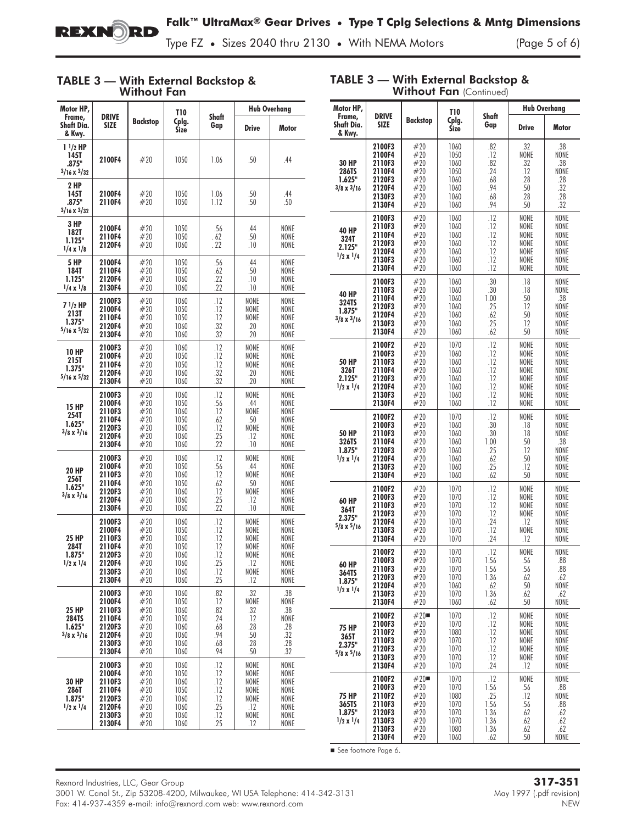

TABLE 3 — With External Backstop &

Type FZ **•** Sizes 2040 thru 2130 **•** With NEMA Motors (Page 5 of 6)

### TABLE 3 — With External Backstop & Without Fan

| Motor HP,                                            |                                                                              |                                                      | <b>T10</b>                                                   |                                                      | <b>Hub Overhang</b>                                        |                                                              |
|------------------------------------------------------|------------------------------------------------------------------------------|------------------------------------------------------|--------------------------------------------------------------|------------------------------------------------------|------------------------------------------------------------|--------------------------------------------------------------|
| Frame,<br>Shaft Dia.<br>& Kwy.                       | <b>DRIVE</b><br>SIZE                                                         | Backstop                                             | Cplg.<br><b>Size</b>                                         | Shaft<br>Gap                                         | <b>Drive</b>                                               | Motor                                                        |
| $11/2$ HP<br>145T<br>.875"<br>$3/16 \times 3/32$     | 2100F4                                                                       | #20                                                  | 1050                                                         | 1.06                                                 | .50                                                        | .44                                                          |
| 2 HP<br>145T<br>.875"<br>$3/16 \times 3/32$          | 2100F4<br>2110F4                                                             | #20<br>#20                                           | 1050<br>1050                                                 | 1.06<br>1.12                                         | .50<br>.50                                                 | .44<br>.50                                                   |
| 3 HP<br>182T<br>1.125"<br>$1/4 \times 1/8$           | 2100F4<br>2110F4<br>2120F4                                                   | #20<br>#20<br>#20                                    | 1050<br>1050<br>1060                                         | .56<br>. 62<br>. 22                                  | .44<br>.50<br>.10                                          | NONE<br>NONE<br>NONE                                         |
| 5 HP<br>184T<br>1.125"<br>$1/4 \times 1/8$           | 2100F4<br>2110F4<br>2120F4<br>2130F4                                         | #20<br>#20<br>#20<br>#20                             | 1050<br>1050<br>1060<br>1060                                 | .56<br>.62<br>.22<br>.22                             | .44<br>.50<br>.10<br>.10                                   | NONE<br>NONE<br>NONE<br>NONE                                 |
| 7 1/2 HP<br>213T<br>1.375"<br>$5/16 \times 5/32$     | 2100F3<br>2100F4<br>2110F4<br>2120F4<br>2130F4                               | #20<br>#20<br>#20<br>#20<br>#20                      | 1060<br>1050<br>1050<br>1060<br>1060                         | .12<br>.12<br>.12<br>.32<br>.32                      | NONE<br>NONE<br>NONE<br>.20<br>.20                         | NONE<br>NONE<br>NONE<br>NONE<br>NONE                         |
| <b>10 HP</b><br>215T<br>1.375"<br>$5/16 \times 5/32$ | 2100F3<br>2100F4<br>2110F4<br>2120F4<br>2130F4                               | #20<br>#20<br>#20<br>#20<br>#20                      | 1060<br>1050<br>1050<br>1060<br>1060                         | .12<br>.12<br>.12<br>.32<br>.32                      | NONE<br>NONE<br>NONE<br>.20<br>.20                         | NONE<br>NONE<br>NONE<br>NONE<br>NONE                         |
| <b>15 HP</b><br>254T<br>1.625"<br>$3/8 \times 3/16$  | 2100F3<br>2100F4<br>2110F3<br>2110F4<br>2120F3<br>2120F4<br>2130F4           | #20<br>#20<br>#20<br>#20<br>#20<br>#20<br>#20        | 1060<br>1050<br>1060<br>1050<br>1060<br>1060<br>1060         | .12<br>.56<br>.12<br>.62<br>.12<br>.25<br>.22        | NONE<br>.44<br>NONE<br>.50<br>NONE<br>.12<br>.10           | NONE<br>NONE<br>NONE<br>NONE<br>NONE<br>NONE<br>NONE         |
| <b>20 HP</b><br>256T<br>1.625"<br>$3/8 \times 3/16$  | 2100F3<br>2100F4<br>2110F3<br>2110F4<br>2120F3<br>2120F4<br>2130F4           | #20<br>#20<br>#20<br>#20<br>#20<br>#20<br>#20        | 1060<br>1050<br>1060<br>1050<br>1060<br>1060<br>1060         | .12<br>.56<br>.12<br>.62<br>.12<br>.25<br>.22        | NONE<br>.44<br>NONE<br>.50<br>NONE<br>.12<br>.10           | NONE<br>NONE<br>NONE<br>NONE<br>NONE<br>NONE<br>NONE         |
| 25 HP<br>284T<br>1.875"<br>$1/2 \times 1/4$          | 2100F3<br>2100F4<br>2110F3<br>2110F4<br>2120F3<br>2120F4<br>2130F3<br>2130F4 | #20<br>#20<br>#20<br>#20<br>#20<br>#20<br>#20<br>#20 | 1060<br>1050<br>1060<br>1050<br>1060<br>1060<br>1060<br>1060 | .12<br>.12<br>.12<br>.12<br>.12<br>.25<br>.12<br>.25 | NONE<br>NONE<br>NONE<br>NONE<br>NONE<br>.12<br>NONE<br>.12 | NONE<br>NONE<br>NONE<br>NONE<br>NONE<br>NONE<br>NONE<br>NONE |
| 25 HP<br>284TS<br>1.625"<br>$3/8 \times 3/16$        | 2100F3<br>2100F4<br>2110F3<br>2110F4<br>2120F3<br>2120F4<br>2130F3<br>2130F4 | #20<br>#20<br>#20<br>#20<br>#20<br>#20<br>#20<br>#20 | 1060<br>1050<br>1060<br>1050<br>1060<br>1060<br>1060<br>1060 | .82<br>.12<br>.82<br>.24<br>.68<br>.94<br>.68<br>.94 | .32<br>NONE<br>.32<br>.12<br>.28<br>.50<br>.28<br>.50      | .38<br>NONE<br>.38<br>NONE<br>.28<br>.32<br>.28<br>.32       |
| <b>30 HP</b><br>286T<br>1.875"<br>$1/2 \times 1/4$   | 2100F3<br>2100F4<br>2110F3<br>2110F4<br>2120F3<br>2120F4<br>2130F3<br>2130F4 | #20<br>#20<br>#20<br>#20<br>#20<br>#20<br>#20<br>#20 | 1060<br>1050<br>1060<br>1050<br>1060<br>1060<br>1060<br>1060 | .12<br>.12<br>.12<br>.12<br>.12<br>.25<br>.12<br>.25 | NONE<br>NONE<br>NONE<br>NONE<br>NONE<br>.12<br>NONE<br>.12 | NONE<br>NONE<br>NONE<br>NONE<br>NONE<br>NONE<br>NONE<br>NONE |

| <b>Without Fan (Continued)</b>                      |                                                                              |                                                      |                                                              |                                                           |                                                              |                                                              |  |
|-----------------------------------------------------|------------------------------------------------------------------------------|------------------------------------------------------|--------------------------------------------------------------|-----------------------------------------------------------|--------------------------------------------------------------|--------------------------------------------------------------|--|
| Motor HP,                                           |                                                                              |                                                      | T10                                                          |                                                           |                                                              | <b>Hub Overhang</b>                                          |  |
| Frame,<br>Shaft Dia.<br>& Kwy.                      | <b>DRIVE</b><br><b>SIZE</b>                                                  | <b>Backstop</b>                                      | Cplg.<br><b>Size</b>                                         | Shaft<br>Gap                                              | <b>Drive</b>                                                 | Motor                                                        |  |
| 30 HP<br>286TS<br>1.625"<br>$3/8 \times 3/16$       | 2100F3<br>2100F4<br>2110F3<br>2110F4<br>2120F3<br>2120F4<br>2130F3<br>2130F4 | #20<br>#20<br>#20<br>#20<br>#20<br>#20<br>#20<br>#20 | 1060<br>1050<br>1060<br>1050<br>1060<br>1060<br>1060<br>1060 | .82<br>.12<br>.82<br>.24<br>.68<br>.94<br>.68<br>.94      | .32<br>NONE<br>.32<br>.12<br>.28<br>.50<br>.28<br>.50        | .38<br>NONE<br>.38<br>NONE<br>.28<br>.32<br>.28<br>.32       |  |
| 40 HP<br>324T<br>2.125"<br>$1/2 \times 1/4$         | 2100F3<br>2110F3<br>2110F4<br>2120F3<br>2120F4<br>2130F3<br>2130F4           | #20<br>#20<br>#20<br>#20<br>#20<br>#20<br>#20        | 1060<br>1060<br>1060<br>1060<br>1060<br>1060<br>1060         | .12<br>.12<br>.12<br>.12<br>.12<br>.12<br>.12             | NONE<br>NONE<br>NONE<br>NONE<br>NONE<br>NONE<br>NONE         | NONE<br>NONE<br>NONE<br>NONE<br>NONE<br>NONE<br>NONE         |  |
| 40 HP<br>324TS<br>1.875"<br>$3/8 \times 3/16$       | 2100F3<br>2110F3<br>2110F4<br>2120F3<br>2120F4<br>2130F3<br>2130F4           | #20<br>#20<br>#20<br>#20<br>#20<br>#20<br>#20        | 1060<br>1060<br>1060<br>1060<br>1060<br>1060<br>1060         | .30<br>.30<br>1.00<br>.25<br>.62<br>.25<br>.62            | .18<br>.18<br>.50<br>.12<br>.50<br>.12<br>.50                | NONE<br>NONE<br>.38<br>NONE<br>NONE<br>NONE<br>NONE          |  |
| <b>50 HP</b><br>326T<br>2.125"<br>$1/2 \times 1/4$  | 2100F2<br>2100F3<br>2110F3<br>2110F4<br>2120F3<br>2120F4<br>2130F3<br>2130F4 | #20<br>#20<br>#20<br>#20<br>#20<br>#20<br>#20<br>#20 | 1070<br>1060<br>1060<br>1060<br>1060<br>1060<br>1060<br>1060 | .12<br>.12<br>.12<br>.12<br>.12<br>.12<br>.12<br>.12      | NONE<br>NONE<br>NONE<br>NONE<br>NONE<br>NONE<br>NONE<br>NONE | NONE<br>NONE<br>NONE<br>NONE<br>NONE<br>NONE<br>NONE<br>NONE |  |
| <b>50 HP</b><br>326TS<br>1.875"<br>$1/2 \times 1/4$ | 2100F2<br>2100F3<br>2110F3<br>2110F4<br>2120F3<br>2120F4<br>2130F3<br>2130F4 | #20<br>#20<br>#20<br>#20<br>#20<br>#20<br>#20<br>#20 | 1070<br>1060<br>1060<br>1060<br>1060<br>1060<br>1060<br>1060 | .12<br>.30<br>.30<br>1.00<br>.25<br>.62<br>.25<br>.62     | NONE<br>.18<br>.18<br>.50<br>.12<br>.50<br>.12<br>.50        | NONE<br>NONE<br>NONE<br>.38<br>NONE<br>NONE<br>NONE<br>NONE  |  |
| 60 HP<br>364T<br>2.375"<br>$5/8 \times 5/16$        | 2100F2<br>2100F3<br>2110F3<br>2120F3<br>2120F4<br>2130F3<br>2130F4           | #20<br>#20<br>#20<br>#20<br>#20<br>#20<br>#20        | 1070<br>1070<br>1070<br>1070<br>1070<br>1070<br>1070         | .12<br>.12<br>.12<br>.12<br>.24<br>.12<br>.24             | NONE<br>NONE<br>NONE<br>NONE<br>.12<br>NONE<br>.12           | NONE<br>NONE<br>NONE<br>NONE<br>NONE<br>NONE<br>NONE         |  |
| 60 HP<br>364TS<br>1.875"<br>$1/2 \times 1/4$        | 2100F2<br>2100F3<br>2110F3<br>2120F3<br>2120F4<br>2130F3<br>2130F4           | #20<br>#20<br>#20<br>#20<br>#20<br>#20<br>#20        | 1070<br>1070<br>1070<br>1070<br>1060<br>1070<br>1060         | 12<br>1.56<br>1.56<br>1.36<br>.62<br>1.36<br>.62          | NONE<br>.56<br>.56<br>.62<br>.50<br>.62<br>.50               | NONE<br>.88<br>.88<br>.62<br>NONE<br>.62<br>NONE             |  |
| <b>75 HP</b><br>365T<br>2.375"<br>$5/8 \times 5/16$ | 2100F2<br>2100F3<br>2110F2<br>2110F3<br>2120F3<br>2130F3<br>2130F4           | $#20$ ■<br>#20<br>#20<br>#20<br>#20<br>#20<br>#20    | 1070<br>1070<br>1080<br>1070<br>1070<br>1070<br>1070         | .12<br>.12<br>.12<br>.12<br>.12<br>.12<br>.24             | NONE<br>NONE<br>NONE<br>NONE<br>NONE<br>NONE<br>.12          | NONE<br>NONE<br>NONE<br>NONE<br>NONE<br>NONE<br>NONE         |  |
| 75 HP<br>365TS<br>1.875"<br>$1/2 \times 1/4$        | 2100F2<br>2100F3<br>2110F2<br>2110F3<br>2120F3<br>2130F3<br>2130F3<br>2130F4 | #20<br>#20<br>#20<br>#20<br>#20<br>#20<br>#20<br>#20 | 1070<br>1070<br>1080<br>1070<br>1070<br>1070<br>1080<br>1060 | .12<br>1.56<br>.25<br>1.56<br>1.36<br>1.36<br>1.36<br>.62 | NONE<br>.56<br>.12<br>.56<br>.62<br>.62<br>.62<br>.50        | NONE<br>.88<br>NONE<br>.88<br>.62<br>.62<br>.62<br>NONE      |  |

See footnote Page 6.